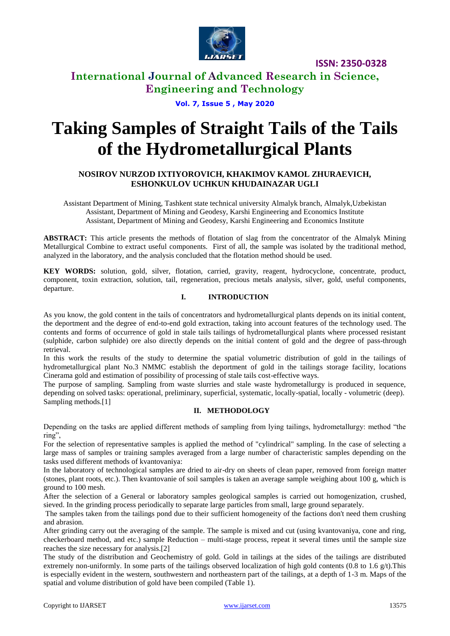

# **International Journal of Advanced Research in Science, Engineering and Technology**

**Vol. 7, Issue 5 , May 2020**

# **Taking Samples of Straight Tails of the Tails of the Hydrometallurgical Plants**

## **NOSIROV NURZOD IXTIYOROVICH, KHAKIMOV KAMOL ZHURAEVICH, ESHONKULOV UCHKUN KHUDAINAZAR UGLI**

Assistant Department of Mining, Tashkent state technical university Almalyk branch, Almalyk,Uzbekistan Assistant, Department of Mining and Geodesy, Karshi Engineering and Economics Institute Assistant, Department of Mining and Geodesy, Karshi Engineering and Economics Institute

**ABSTRACT:** This article presents the methods of flotation of slag from the concentrator of the Almalyk Mining Metallurgical Combine to extract useful components. First of all, the sample was isolated by the traditional method, analyzed in the laboratory, and the analysis concluded that the flotation method should be used.

**KEY WORDS:** solution, gold, silver, flotation, carried, gravity, reagent, hydrocyclone, concentrate, product, component, toxin extraction, solution, tail, regeneration, precious metals analysis, silver, gold, useful components, departure.

## **I. INTRODUCTION**

As you know, the gold content in the tails of concentrators and hydrometallurgical plants depends on its initial content, the deportment and the degree of end-to-end gold extraction, taking into account features of the technology used. The contents and forms of occurrence of gold in stale tails tailings of hydrometallurgical plants where processed resistant (sulphide, carbon sulphide) ore also directly depends on the initial content of gold and the degree of pass-through retrieval.

In this work the results of the study to determine the spatial volumetric distribution of gold in the tailings of hydrometallurgical plant No.3 NMMC establish the deportment of gold in the tailings storage facility, locations Cinerama gold and estimation of possibility of processing of stale tails cost-effective ways.

The purpose of sampling. Sampling from waste slurries and stale waste hydrometallurgy is produced in sequence, depending on solved tasks: operational, preliminary, superficial, systematic, locally-spatial, locally - volumetric (deep). Sampling methods.[1]

## **II. METHODOLOGY**

Depending on the tasks are applied different methods of sampling from lying tailings, hydrometallurgy: method "the ring",

For the selection of representative samples is applied the method of "cylindrical" sampling. In the case of selecting a large mass of samples or training samples averaged from a large number of characteristic samples depending on the tasks used different methods of kvantovaniya:

In the laboratory of technological samples are dried to air-dry on sheets of clean paper, removed from foreign matter (stones, plant roots, etc.). Then kvantovanie of soil samples is taken an average sample weighing about 100 g, which is ground to 100 mesh.

After the selection of a General or laboratory samples geological samples is carried out homogenization, crushed, sieved. In the grinding process periodically to separate large particles from small, large ground separately.

The samples taken from the tailings pond due to their sufficient homogeneity of the factions don't need them crushing and abrasion.

After grinding carry out the averaging of the sample. The sample is mixed and cut (using kvantovaniya, cone and ring, checkerboard method, and etc.) sample Reduction – multi-stage process, repeat it several times until the sample size reaches the size necessary for analysis.[2]

The study of the distribution and Geochemistry of gold. Gold in tailings at the sides of the tailings are distributed extremely non-uniformly. In some parts of the tailings observed localization of high gold contents  $(0.8 \text{ to } 1.6 \text{ g/t})$ . This is especially evident in the western, southwestern and northeastern part of the tailings, at a depth of 1-3 m. Maps of the spatial and volume distribution of gold have been compiled (Table 1).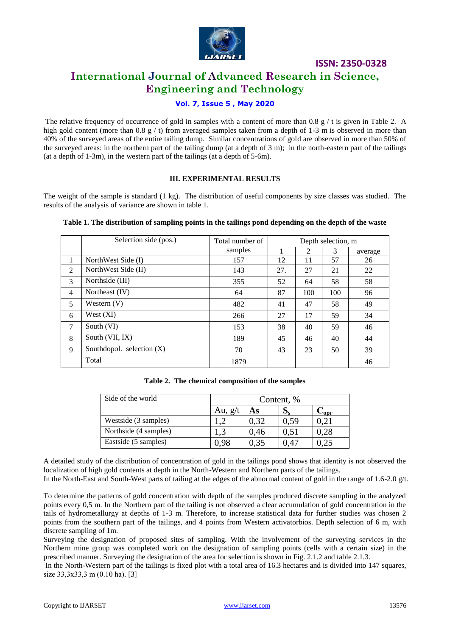

# **International Journal of Advanced Research in Science, Engineering and Technology**

## **Vol. 7, Issue 5 , May 2020**

The relative frequency of occurrence of gold in samples with a content of more than 0.8  $g / t$  is given in Table 2. A high gold content (more than 0.8 g / t) from averaged samples taken from a depth of 1-3 m is observed in more than 40% of the surveyed areas of the entire tailing dump. Similar concentrations of gold are observed in more than 50% of the surveyed areas: in the northern part of the tailing dump (at a depth of 3 m); in the north-eastern part of the tailings (at a depth of 1-3m), in the western part of the tailings (at a depth of 5-6m).

### **III. EXPERIMENTAL RESULTS**

The weight of the sample is standard (1 kg). The distribution of useful components by size classes was studied. The results of the analysis of variance are shown in table 1.

|                | Selection side (pos.)       | Total number of | Depth selection, m |     |     |         |
|----------------|-----------------------------|-----------------|--------------------|-----|-----|---------|
|                |                             | samples         |                    | 2   | 3   | average |
| л.             | NorthWest Side (I)          | 157             | 12                 | 11  | 57  | 26      |
| 2              | NorthWest Side (II)         | 143             | 27.                | 27  | 21  | 22      |
| 3              | Northside (III)             | 355             | 52                 | 64  | 58  | 58      |
| $\overline{4}$ | Northeast (IV)              | 64              | 87                 | 100 | 100 | 96      |
| 5              | Western $(V)$               | 482             | 41                 | 47  | 58  | 49      |
| 6              | West(XI)                    | 266             | 27                 | 17  | 59  | 34      |
| 7              | South (VI)                  | 153             | 38                 | 40  | 59  | 46      |
| 8              | South (VII, IX)             | 189             | 45                 | 46  | 40  | 44      |
| 9              | Southdopol. selection $(X)$ | 70              | 43                 | 23  | 50  | 39      |
|                | Total                       | 1879            |                    |     |     | 46      |

#### **Table 1. The distribution of sampling points in the tailings pond depending on the depth of the waste**

**Table 2. The chemical composition of the samples**

| Side of the world     | Content, % |      |              |      |  |  |
|-----------------------|------------|------|--------------|------|--|--|
|                       | Au, $g/t$  | As   | νç           | -орг |  |  |
| Westside (3 samples)  |            | 0.32 | 0.59         |      |  |  |
| Northside (4 samples) | 1,3        | 0.46 | 0.51         | 0.28 |  |  |
| Eastside (5 samples)  | ).98       | 0.35 | $14^{\circ}$ |      |  |  |

A detailed study of the distribution of concentration of gold in the tailings pond shows that identity is not observed the localization of high gold contents at depth in the North-Western and Northern parts of the tailings.

In the North-East and South-West parts of tailing at the edges of the abnormal content of gold in the range of 1.6-2.0 g/t.

To determine the patterns of gold concentration with depth of the samples produced discrete sampling in the analyzed points every 0,5 m. In the Northern part of the tailing is not observed a clear accumulation of gold concentration in the tails of hydrometallurgy at depths of 1-3 m. Therefore, to increase statistical data for further studies was chosen 2 points from the southern part of the tailings, and 4 points from Western activatorbios. Depth selection of 6 m, with discrete sampling of 1m.

Surveying the designation of proposed sites of sampling. With the involvement of the surveying services in the Northern mine group was completed work on the designation of sampling points (cells with a certain size) in the prescribed manner. Surveying the designation of the area for selection is shown in Fig. 2.1.2 and table 2.1.3.

In the North-Western part of the tailings is fixed plot with a total area of 16.3 hectares and is divided into 147 squares, size 33,3x33,3 m (0.10 ha). [3]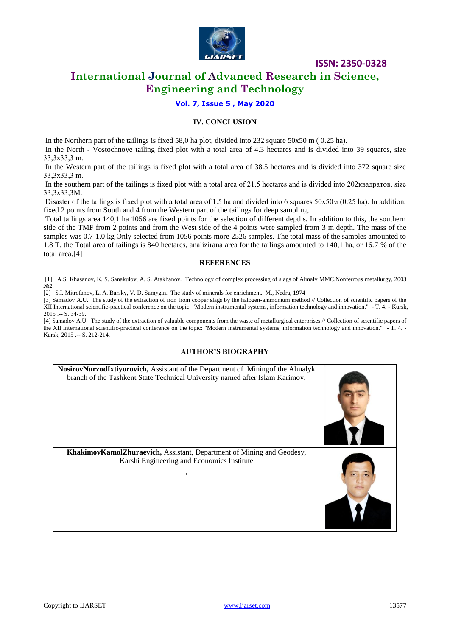

# **International Journal of Advanced Research in Science, Engineering and Technology**

**Vol. 7, Issue 5 , May 2020**

#### **IV. CONCLUSION**

In the Northern part of the tailings is fixed 58,0 ha plot, divided into 232 square 50x50 m ( 0.25 ha).

In the North - Vostochnoye tailing fixed plot with a total area of 4.3 hectares and is divided into 39 squares, size 33,3х33,3 m.

In the Western part of the tailings is fixed plot with a total area of 38.5 hectares and is divided into 372 square size 33,3х33,3 m.

In the southern part of the tailings is fixed plot with a total area of 21.5 hectares and is divided into 202квадратов, size 33,3х33,3M.

Disaster of the tailings is fixed plot with a total area of 1.5 ha and divided into 6 squares  $50x50M(0.25)$  ha). In addition, fixed 2 points from South and 4 from the Western part of the tailings for deep sampling.

Total tailings area 140,1 ha 1056 are fixed points for the selection of different depths. In addition to this, the southern side of the TMF from 2 points and from the West side of the 4 points were sampled from 3 m depth. The mass of the samples was 0.7-1.0 kg Only selected from 1056 points more 2526 samples. The total mass of the samples amounted to 1.8 T. the Total area of tailings is 840 hectares, analizirana area for the tailings amounted to 140,1 ha, or 16.7 % of the total area.[4]

#### **REFERENCES**

[1] A.S. Khasanov, K. S. Sanakulov, A. S. Atakhanov. Technology of complex processing of slags of Almaly MMC.Nonferrous metallurgy, 2003 No 2.

[2] S.I. Mitrofanov, L. A. Barsky, V. D. Samygin. The study of minerals for enrichment. M., Nedra, 1974

[3] Samadov A.U. The study of the extraction of iron from copper slags by the halogen-ammonium method // Collection of scientific papers of the XII International scientific-practical conference on the topic: "Modern instrumental systems, information technology and innovation." - T. 4. - Kursk, 2015 .-- S. 34-39.

[4] Samadov A.U. The study of the extraction of valuable components from the waste of metallurgical enterprises // Collection of scientific papers of the XII International scientific-practical conference on the topic: "Modern instrumental systems, information technology and innovation." - T. 4. - Kursk, 2015 .-- S. 212-214.

#### **AUTHOR'S BIOGRAPHY**